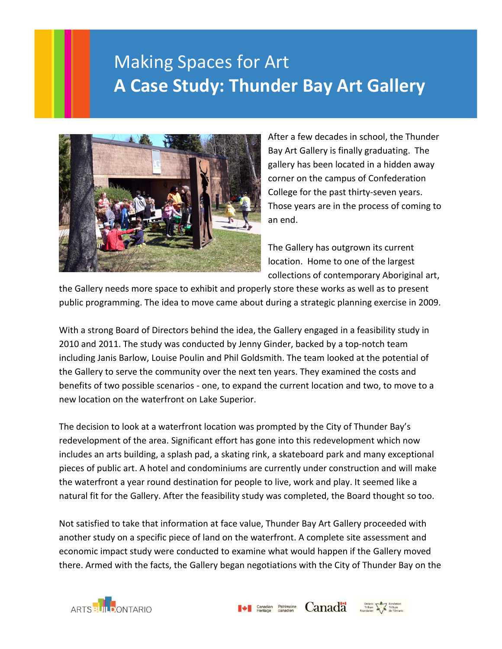## Making Spaces for Art **A Case Study: Thunder Bay Art Gallery**



After a few decades in school, the Thunder Bay Art Gallery is finally graduating. The gallery has been located in a hidden away corner on the campus of Confederation College for the past thirty-seven years. Those years are in the process of coming to an end.

The Gallery has outgrown its current location. Home to one of the largest collections of contemporary Aboriginal art,

the Gallery needs more space to exhibit and properly store these works as well as to present public programming. The idea to move came about during a strategic planning exercise in 2009.

With a strong Board of Directors behind the idea, the Gallery engaged in a feasibility study in 2010 and 2011. The study was conducted by Jenny Ginder, backed by a top-notch team including Janis Barlow, Louise Poulin and Phil Goldsmith. The team looked at the potential of the Gallery to serve the community over the next ten years. They examined the costs and benefits of two possible scenarios - one, to expand the current location and two, to move to a new location on the waterfront on Lake Superior.

The decision to look at a waterfront location was prompted by the City of Thunder Bay's redevelopment of the area. Significant effort has gone into this redevelopment which now includes an arts building, a splash pad, a skating rink, a skateboard park and many exceptional pieces of public art. A hotel and condominiums are currently under construction and will make the waterfront a year round destination for people to live, work and play. It seemed like a natural fit for the Gallery. After the feasibility study was completed, the Board thought so too.

Not satisfied to take that information at face value, Thunder Bay Art Gallery proceeded with another study on a specific piece of land on the waterfront. A complete site assessment and economic impact study were conducted to examine what would happen if the Gallery moved there. Armed with the facts, the Gallery began negotiations with the City of Thunder Bay on the



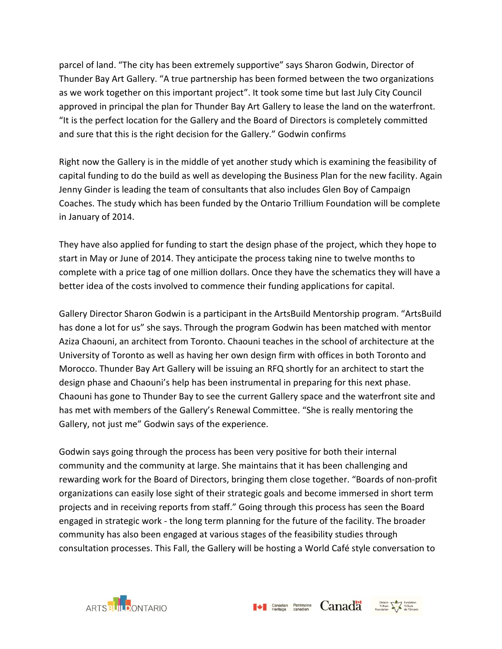parcel of land. "The city has been extremely supportive" says Sharon Godwin, Director of Thunder Bay Art Gallery. "A true partnership has been formed between the two organizations as we work together on this important project". It took some time but last July City Council approved in principal the plan for Thunder Bay Art Gallery to lease the land on the waterfront. "It is the perfect location for the Gallery and the Board of Directors is completely committed and sure that this is the right decision for the Gallery." Godwin confirms

Right now the Gallery is in the middle of yet another study which is examining the feasibility of capital funding to do the build as well as developing the Business Plan for the new facility. Again Jenny Ginder is leading the team of consultants that also includes Glen Boy of Campaign Coaches. The study which has been funded by the Ontario Trillium Foundation will be complete in January of 2014.

They have also applied for funding to start the design phase of the project, which they hope to start in May or June of 2014. They anticipate the process taking nine to twelve months to complete with a price tag of one million dollars. Once they have the schematics they will have a better idea of the costs involved to commence their funding applications for capital.

Gallery Director Sharon Godwin is a participant in the ArtsBuild Mentorship program. "ArtsBuild has done a lot for us" she says. Through the program Godwin has been matched with mentor Aziza Chaouni, an architect from Toronto. Chaouni teaches in the school of architecture at the University of Toronto as well as having her own design firm with offices in both Toronto and Morocco. Thunder Bay Art Gallery will be issuing an RFQ shortly for an architect to start the design phase and Chaouni's help has been instrumental in preparing for this next phase. Chaouni has gone to Thunder Bay to see the current Gallery space and the waterfront site and has met with members of the Gallery's Renewal Committee. "She is really mentoring the Gallery, not just me" Godwin says of the experience.

Godwin says going through the process has been very positive for both their internal community and the community at large. She maintains that it has been challenging and rewarding work for the Board of Directors, bringing them close together. "Boards of non-profit organizations can easily lose sight of their strategic goals and become immersed in short term projects and in receiving reports from staff." Going through this process has seen the Board engaged in strategic work - the long term planning for the future of the facility. The broader community has also been engaged at various stages of the feasibility studies through consultation processes. This Fall, the Gallery will be hosting a World Café style conversation to

 $\blacktriangleright$  Canadian Patrimoine **Canadian**  $\sum_{\text{Condition}}^{\text{Ontation}}$